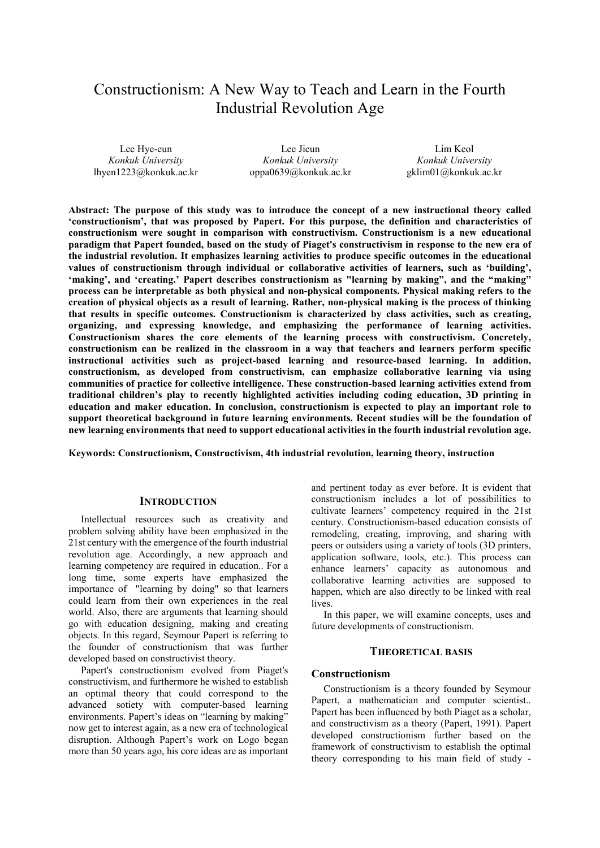# Constructionism: A New Way to Teach and Learn in the Fourth Industrial Revolution Age

Lee Hye-eun *Konkuk University* lhyen1223@konkuk.ac.kr

Lee Jieun *Konkuk University* oppa0639@konkuk.ac.kr

Lim Keol *Konkuk University* gklim01@konkuk.ac.kr

**Abstract: The purpose of this study was to introduce the concept of a new instructional theory called 'constructionism', that was proposed by Papert. For this purpose, the definition and characteristics of constructionism were sought in comparison with constructivism. Constructionism is a new educational paradigm that Papert founded, based on the study of Piaget's constructivism in response to the new era of the industrial revolution. It emphasizes learning activities to produce specific outcomes in the educational values of constructionism through individual or collaborative activities of learners, such as 'building', 'making', and 'creating.' Papert describes constructionism as "learning by making", and the "making" process can be interpretable as both physical and non-physical components. Physical making refers to the creation of physical objects as a result of learning. Rather, non-physical making is the process of thinking that results in specific outcomes. Constructionism is characterized by class activities, such as creating, organizing, and expressing knowledge, and emphasizing the performance of learning activities. Constructionism shares the core elements of the learning process with constructivism. Concretely, constructionism can be realized in the classroom in a way that teachers and learners perform specific instructional activities such as project-based learning and resource-based learning. In addition, constructionism, as developed from constructivism, can emphasize collaborative learning via using communities of practice for collective intelligence. These construction-based learning activities extend from traditional children's play to recently highlighted activities including coding education, 3D printing in education and maker education. In conclusion, constructionism is expected to play an important role to support theoretical background in future learning environments. Recent studies will be the foundation of new learning environments that need to support educational activities in the fourth industrial revolution age.** 

**Keywords: Constructionism, Constructivism, 4th industrial revolution, learning theory, instruction** 

## **INTRODUCTION**

Intellectual resources such as creativity and problem solving ability have been emphasized in the 21st century with the emergence of the fourth industrial revolution age. Accordingly, a new approach and learning competency are required in education.. For a long time, some experts have emphasized the importance of "learning by doing" so that learners could learn from their own experiences in the real world. Also, there are arguments that learning should go with education designing, making and creating objects. In this regard, Seymour Papert is referring to the founder of constructionism that was further developed based on constructivist theory.

Papert's constructionism evolved from Piaget's constructivism, and furthermore he wished to establish an optimal theory that could correspond to the advanced sotiety with computer-based learning environments. Papert's ideas on "learning by making" now get to interest again, as a new era of technological disruption. Although Papert's work on Logo began more than 50 years ago, his core ideas are as important and pertinent today as ever before. It is evident that constructionism includes a lot of possibilities to cultivate learners' competency required in the 21st century. Constructionism-based education consists of remodeling, creating, improving, and sharing with peers or outsiders using a variety of tools (3D printers, application software, tools, etc.). This process can enhance learners' capacity as autonomous and collaborative learning activities are supposed to happen, which are also directly to be linked with real lives.

In this paper, we will examine concepts, uses and future developments of constructionism.

### **THEORETICAL BASIS**

### **Constructionism**

Constructionism is a theory founded by Seymour Papert, a mathematician and computer scientist.. Papert has been influenced by both Piaget as a scholar, and constructivism as a theory (Papert, 1991). Papert developed constructionism further based on the framework of constructivism to establish the optimal theory corresponding to his main field of study -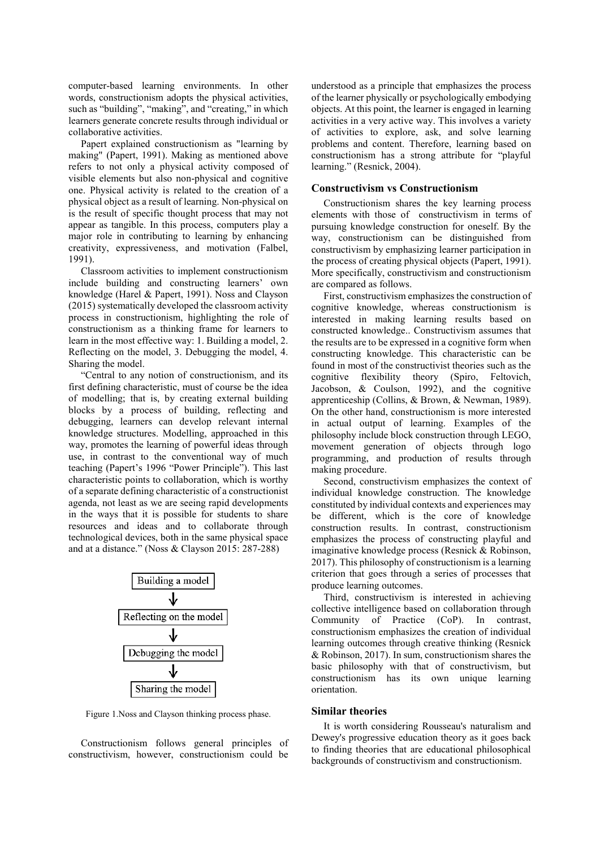computer-based learning environments. In other words, constructionism adopts the physical activities, such as "building", "making", and "creating," in which learners generate concrete results through individual or collaborative activities.

Papert explained constructionism as "learning by making" (Papert, 1991). Making as mentioned above refers to not only a physical activity composed of visible elements but also non-physical and cognitive one. Physical activity is related to the creation of a physical object as a result of learning. Non-physical on is the result of specific thought process that may not appear as tangible. In this process, computers play a major role in contributing to learning by enhancing creativity, expressiveness, and motivation (Falbel, 1991).

Classroom activities to implement constructionism include building and constructing learners' own knowledge (Harel & Papert, 1991). Noss and Clayson (2015) systematically developed the classroom activity process in constructionism, highlighting the role of constructionism as a thinking frame for learners to learn in the most effective way: 1. Building a model, 2. Reflecting on the model, 3. Debugging the model, 4. Sharing the model.

"Central to any notion of constructionism, and its first defining characteristic, must of course be the idea of modelling; that is, by creating external building blocks by a process of building, reflecting and debugging, learners can develop relevant internal knowledge structures. Modelling, approached in this way, promotes the learning of powerful ideas through use, in contrast to the conventional way of much teaching (Papert's 1996 "Power Principle"). This last characteristic points to collaboration, which is worthy of a separate defining characteristic of a constructionist agenda, not least as we are seeing rapid developments in the ways that it is possible for students to share resources and ideas and to collaborate through technological devices, both in the same physical space and at a distance." (Noss & Clayson 2015: 287-288)



Figure 1.Noss and Clayson thinking process phase.

Constructionism follows general principles of constructivism, however, constructionism could be understood as a principle that emphasizes the process of the learner physically or psychologically embodying objects. At this point, the learner is engaged in learning activities in a very active way. This involves a variety of activities to explore, ask, and solve learning problems and content. Therefore, learning based on constructionism has a strong attribute for "playful learning." (Resnick, 2004).

### **Constructivism vs Constructionism**

Constructionism shares the key learning process elements with those of constructivism in terms of pursuing knowledge construction for oneself. By the way, constructionism can be distinguished from constructivism by emphasizing learner participation in the process of creating physical objects (Papert, 1991). More specifically, constructivism and constructionism are compared as follows.

First, constructivism emphasizes the construction of cognitive knowledge, whereas constructionism is interested in making learning results based on constructed knowledge.. Constructivism assumes that the results are to be expressed in a cognitive form when constructing knowledge. This characteristic can be found in most of the constructivist theories such as the cognitive flexibility theory (Spiro, Feltovich, Jacobson, & Coulson, 1992), and the cognitive apprenticeship (Collins, & Brown, & Newman, 1989). On the other hand, constructionism is more interested in actual output of learning. Examples of the philosophy include block construction through LEGO, movement generation of objects through logo programming, and production of results through making procedure.

Second, constructivism emphasizes the context of individual knowledge construction. The knowledge constituted by individual contexts and experiences may be different, which is the core of knowledge construction results. In contrast, constructionism emphasizes the process of constructing playful and imaginative knowledge process (Resnick & Robinson, 2017). This philosophy of constructionism is a learning criterion that goes through a series of processes that produce learning outcomes.

Third, constructivism is interested in achieving collective intelligence based on collaboration through Community of Practice (CoP). In contrast, constructionism emphasizes the creation of individual learning outcomes through creative thinking (Resnick & Robinson, 2017). In sum, constructionism shares the basic philosophy with that of constructivism, but constructionism has its own unique learning orientation.

#### **Similar theories**

It is worth considering Rousseau's naturalism and Dewey's progressive education theory as it goes back to finding theories that are educational philosophical backgrounds of constructivism and constructionism.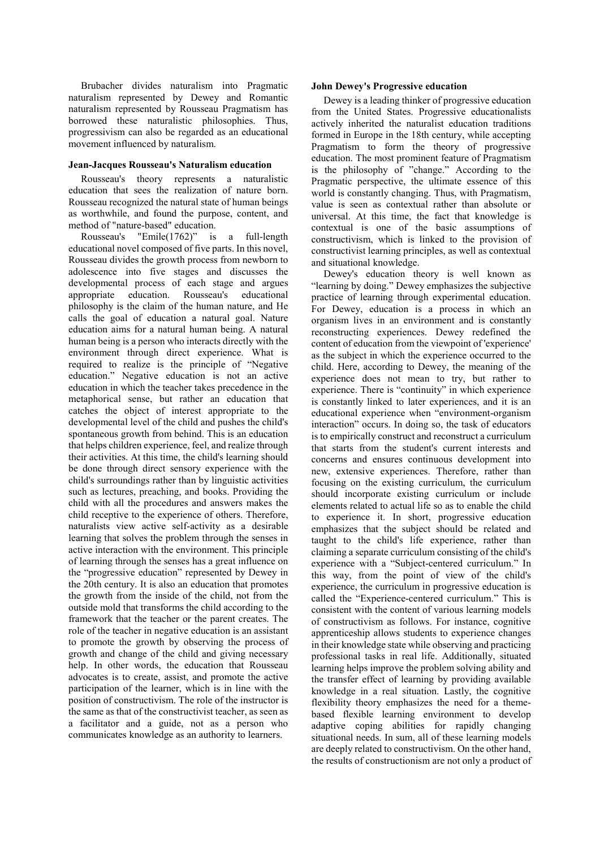Brubacher divides naturalism into Pragmatic naturalism represented by Dewey and Romantic naturalism represented by Rousseau Pragmatism has borrowed these naturalistic philosophies. Thus, progressivism can also be regarded as an educational movement influenced by naturalism.

#### **Jean-Jacques Rousseau's Naturalism education**

Rousseau's theory represents a naturalistic education that sees the realization of nature born. Rousseau recognized the natural state of human beings as worthwhile, and found the purpose, content, and method of "nature-based" education.

Rousseau's "Emile(1762)" is a full-length educational novel composed of five parts. In this novel, Rousseau divides the growth process from newborn to adolescence into five stages and discusses the developmental process of each stage and argues appropriate education. Rousseau's educational philosophy is the claim of the human nature, and He calls the goal of education a natural goal. Nature education aims for a natural human being. A natural human being is a person who interacts directly with the environment through direct experience. What is required to realize is the principle of "Negative education." Negative education is not an active education in which the teacher takes precedence in the metaphorical sense, but rather an education that catches the object of interest appropriate to the developmental level of the child and pushes the child's spontaneous growth from behind. This is an education that helps children experience, feel, and realize through their activities. At this time, the child's learning should be done through direct sensory experience with the child's surroundings rather than by linguistic activities such as lectures, preaching, and books. Providing the child with all the procedures and answers makes the child receptive to the experience of others. Therefore, naturalists view active self-activity as a desirable learning that solves the problem through the senses in active interaction with the environment. This principle of learning through the senses has a great influence on the "progressive education" represented by Dewey in the 20th century. It is also an education that promotes the growth from the inside of the child, not from the outside mold that transforms the child according to the framework that the teacher or the parent creates. The role of the teacher in negative education is an assistant to promote the growth by observing the process of growth and change of the child and giving necessary help. In other words, the education that Rousseau advocates is to create, assist, and promote the active participation of the learner, which is in line with the position of constructivism. The role of the instructor is the same as that of the constructivist teacher, as seen as a facilitator and a guide, not as a person who communicates knowledge as an authority to learners.

# **John Dewey's Progressive education**

Dewey is a leading thinker of progressive education from the United States. Progressive educationalists actively inherited the naturalist education traditions formed in Europe in the 18th century, while accepting Pragmatism to form the theory of progressive education. The most prominent feature of Pragmatism is the philosophy of "change." According to the Pragmatic perspective, the ultimate essence of this world is constantly changing. Thus, with Pragmatism, value is seen as contextual rather than absolute or universal. At this time, the fact that knowledge is contextual is one of the basic assumptions of constructivism, which is linked to the provision of constructivist learning principles, as well as contextual and situational knowledge.

Dewey's education theory is well known as "learning by doing." Dewey emphasizes the subjective practice of learning through experimental education. For Dewey, education is a process in which an organism lives in an environment and is constantly reconstructing experiences. Dewey redefined the content of education from the viewpoint of 'experience' as the subject in which the experience occurred to the child. Here, according to Dewey, the meaning of the experience does not mean to try, but rather to experience. There is "continuity" in which experience is constantly linked to later experiences, and it is an educational experience when "environment-organism interaction" occurs. In doing so, the task of educators is to empirically construct and reconstruct a curriculum that starts from the student's current interests and concerns and ensures continuous development into new, extensive experiences. Therefore, rather than focusing on the existing curriculum, the curriculum should incorporate existing curriculum or include elements related to actual life so as to enable the child to experience it. In short, progressive education emphasizes that the subject should be related and taught to the child's life experience, rather than claiming a separate curriculum consisting of the child's experience with a "Subject-centered curriculum." In this way, from the point of view of the child's experience, the curriculum in progressive education is called the "Experience-centered curriculum." This is consistent with the content of various learning models of constructivism as follows. For instance, cognitive apprenticeship allows students to experience changes in their knowledge state while observing and practicing professional tasks in real life. Additionally, situated learning helps improve the problem solving ability and the transfer effect of learning by providing available knowledge in a real situation. Lastly, the cognitive flexibility theory emphasizes the need for a themebased flexible learning environment to develop adaptive coping abilities for rapidly changing situational needs. In sum, all of these learning models are deeply related to constructivism. On the other hand, the results of constructionism are not only a product of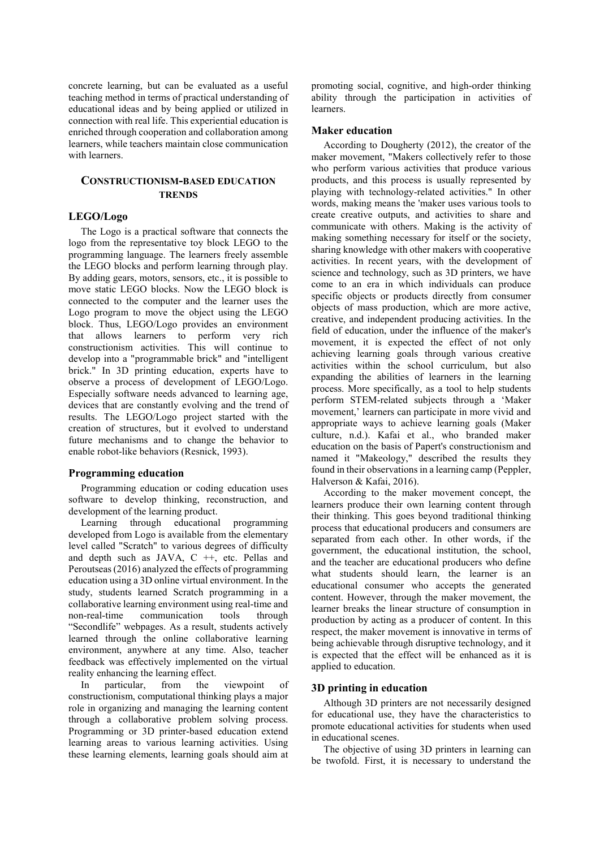concrete learning, but can be evaluated as a useful teaching method in terms of practical understanding of educational ideas and by being applied or utilized in connection with real life. This experiential education is enriched through cooperation and collaboration among learners, while teachers maintain close communication with learners.

# **CONSTRUCTIONISM-BASED EDUCATION TRENDS**

### **LEGO/Logo**

The Logo is a practical software that connects the logo from the representative toy block LEGO to the programming language. The learners freely assemble the LEGO blocks and perform learning through play. By adding gears, motors, sensors, etc., it is possible to move static LEGO blocks. Now the LEGO block is connected to the computer and the learner uses the Logo program to move the object using the LEGO block. Thus, LEGO/Logo provides an environment that allows learners to perform very rich constructionism activities. This will continue to develop into a "programmable brick" and "intelligent brick." In 3D printing education, experts have to observe a process of development of LEGO/Logo. Especially software needs advanced to learning age, devices that are constantly evolving and the trend of results. The LEGO/Logo project started with the creation of structures, but it evolved to understand future mechanisms and to change the behavior to enable robot-like behaviors (Resnick, 1993).

### **Programming education**

Programming education or coding education uses software to develop thinking, reconstruction, and development of the learning product.

Learning through educational programming developed from Logo is available from the elementary level called "Scratch" to various degrees of difficulty and depth such as JAVA,  $C + \frac{1}{2}$ , etc. Pellas and Peroutseas (2016) analyzed the effects of programming education using a 3D online virtual environment. In the study, students learned Scratch programming in a collaborative learning environment using real-time and non-real-time communication tools through "Secondlife" webpages. As a result, students actively learned through the online collaborative learning environment, anywhere at any time. Also, teacher feedback was effectively implemented on the virtual reality enhancing the learning effect.

In particular, from the viewpoint of constructionism, computational thinking plays a major role in organizing and managing the learning content through a collaborative problem solving process. Programming or 3D printer-based education extend learning areas to various learning activities. Using these learning elements, learning goals should aim at promoting social, cognitive, and high-order thinking ability through the participation in activities of learners.

### **Maker education**

According to Dougherty (2012), the creator of the maker movement, "Makers collectively refer to those who perform various activities that produce various products, and this process is usually represented by playing with technology-related activities." In other words, making means the 'maker uses various tools to create creative outputs, and activities to share and communicate with others. Making is the activity of making something necessary for itself or the society, sharing knowledge with other makers with cooperative activities. In recent years, with the development of science and technology, such as 3D printers, we have come to an era in which individuals can produce specific objects or products directly from consumer objects of mass production, which are more active, creative, and independent producing activities. In the field of education, under the influence of the maker's movement, it is expected the effect of not only achieving learning goals through various creative activities within the school curriculum, but also expanding the abilities of learners in the learning process. More specifically, as a tool to help students perform STEM-related subjects through a 'Maker movement,' learners can participate in more vivid and appropriate ways to achieve learning goals (Maker culture, n.d.). Kafai et al., who branded maker education on the basis of Papert's constructionism and named it "Makeology," described the results they found in their observations in a learning camp (Peppler, Halverson & Kafai, 2016).

According to the maker movement concept, the learners produce their own learning content through their thinking. This goes beyond traditional thinking process that educational producers and consumers are separated from each other. In other words, if the government, the educational institution, the school, and the teacher are educational producers who define what students should learn, the learner is an educational consumer who accepts the generated content. However, through the maker movement, the learner breaks the linear structure of consumption in production by acting as a producer of content. In this respect, the maker movement is innovative in terms of being achievable through disruptive technology, and it is expected that the effect will be enhanced as it is applied to education.

## **3D printing in education**

Although 3D printers are not necessarily designed for educational use, they have the characteristics to promote educational activities for students when used in educational scenes.

The objective of using 3D printers in learning can be twofold. First, it is necessary to understand the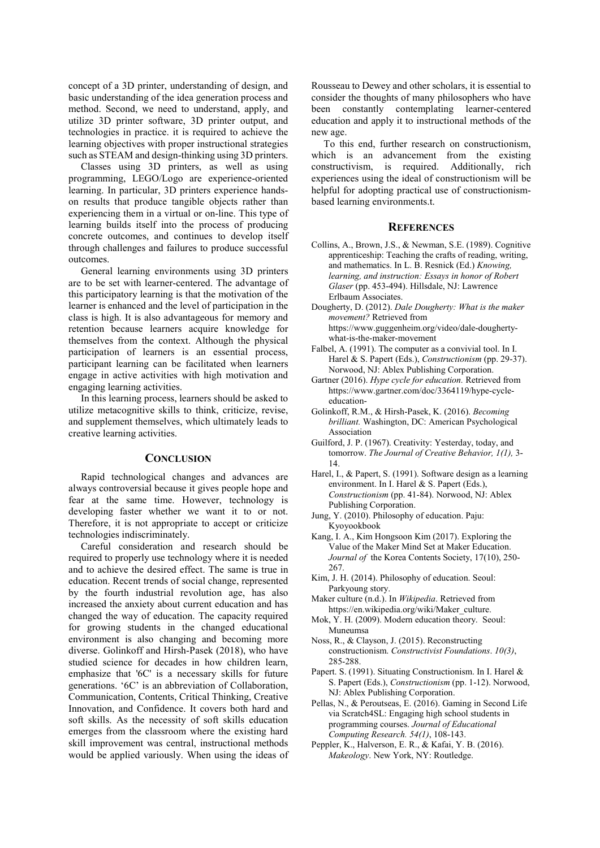concept of a 3D printer, understanding of design, and basic understanding of the idea generation process and method. Second, we need to understand, apply, and utilize 3D printer software, 3D printer output, and technologies in practice. it is required to achieve the learning objectives with proper instructional strategies such as STEAM and design-thinking using 3D printers.

Classes using 3D printers, as well as using programming, LEGO/Logo are experience-oriented learning. In particular, 3D printers experience handson results that produce tangible objects rather than experiencing them in a virtual or on-line. This type of learning builds itself into the process of producing concrete outcomes, and continues to develop itself through challenges and failures to produce successful outcomes.

General learning environments using 3D printers are to be set with learner-centered. The advantage of this participatory learning is that the motivation of the learner is enhanced and the level of participation in the class is high. It is also advantageous for memory and retention because learners acquire knowledge for themselves from the context. Although the physical participation of learners is an essential process, participant learning can be facilitated when learners engage in active activities with high motivation and engaging learning activities.

In this learning process, learners should be asked to utilize metacognitive skills to think, criticize, revise, and supplement themselves, which ultimately leads to creative learning activities.

### **CONCLUSION**

Rapid technological changes and advances are always controversial because it gives people hope and fear at the same time. However, technology is developing faster whether we want it to or not. Therefore, it is not appropriate to accept or criticize technologies indiscriminately.

Careful consideration and research should be required to properly use technology where it is needed and to achieve the desired effect. The same is true in education. Recent trends of social change, represented by the fourth industrial revolution age, has also increased the anxiety about current education and has changed the way of education. The capacity required for growing students in the changed educational environment is also changing and becoming more diverse. Golinkoff and Hirsh-Pasek (2018), who have studied science for decades in how children learn, emphasize that '6C' is a necessary skills for future generations. '6C' is an abbreviation of Collaboration, Communication, Contents, Critical Thinking, Creative Innovation, and Confidence. It covers both hard and soft skills. As the necessity of soft skills education emerges from the classroom where the existing hard skill improvement was central, instructional methods would be applied variously. When using the ideas of Rousseau to Dewey and other scholars, it is essential to consider the thoughts of many philosophers who have been constantly contemplating learner-centered education and apply it to instructional methods of the new age.

To this end, further research on constructionism, which is an advancement from the existing constructivism, is required. Additionally, rich experiences using the ideal of constructionism will be helpful for adopting practical use of constructionismbased learning environments.t.

### **REFERENCES**

- Collins, A., Brown, J.S., & Newman, S.E. (1989). Cognitive apprenticeship: Teaching the crafts of reading, writing, and mathematics. In L. B. Resnick (Ed.) *Knowing, learning, and instruction: Essays in honor of Robert Glaser* (pp. 453-494). Hillsdale, NJ: Lawrence Erlbaum Associates.
- Dougherty, D. (2012). *Dale Dougherty: What is the maker movement?* Retrieved from https://www.guggenheim.org/video/dale-doughertywhat-is-the-maker-movement
- Falbel, A. (1991). The computer as a convivial tool. In I. Harel & S. Papert (Eds.), *Constructionism* (pp. 29-37). Norwood, NJ: Ablex Publishing Corporation.
- Gartner (2016). *Hype cycle for education.* Retrieved from https://www.gartner.com/doc/3364119/hype-cycleeducation-
- Golinkoff, R.M., & Hirsh-Pasek, K. (2016). *Becoming brilliant.* Washington, DC: American Psychological Association
- Guilford, J. P. (1967). Creativity: Yesterday, today, and tomorrow. *The Journal of Creative Behavior, 1(1),* 3- 14.
- Harel, I., & Papert, S. (1991). Software design as a learning environment. In I. Harel & S. Papert (Eds.), *Constructionism* (pp. 41-84). Norwood, NJ: Ablex Publishing Corporation.
- Jung, Y. (2010). Philosophy of education. Paju: Kyoyookbook
- Kang, I. A., Kim Hongsoon Kim (2017). Exploring the Value of the Maker Mind Set at Maker Education. *Journal of* the Korea Contents Society, 17(10), 250- 267.
- Kim, J. H. (2014). Philosophy of education. Seoul: Parkyoung story.
- Maker culture (n.d.). In *Wikipedia*. Retrieved from https://en.wikipedia.org/wiki/Maker\_culture.
- Mok, Y. H. (2009). Modern education theory. Seoul: Muneumsa
- Noss, R., & Clayson, J. (2015). Reconstructing constructionism. *Constructivist Foundations*. *10(3)*, 285-288.
- Papert. S. (1991). Situating Constructionism. In I. Harel & S. Papert (Eds.), *Constructionism* (pp. 1-12). Norwood, NJ: Ablex Publishing Corporation.
- Pellas, N., & Peroutseas, E. (2016). Gaming in Second Life via Scratch4SL: Engaging high school students in programming courses. *Journal of Educational Computing Research. 54(1)*, 108-143.
- Peppler, K., Halverson, E. R., & Kafai, Y. B. (2016). *Makeology*. New York, NY: Routledge.